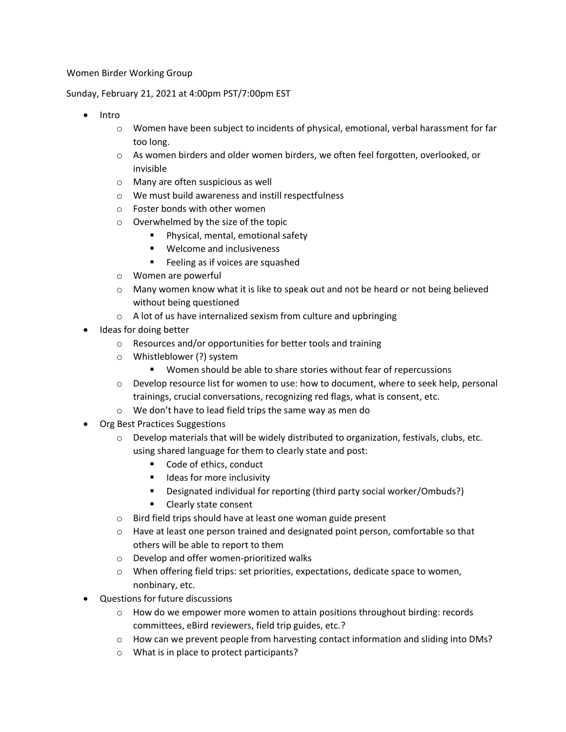## Women Birder Working Group

## Sunday, February 21, 2021 at 4:00pm PST/7:00pm EST

- Intro
	- $\circ$  Women have been subject to incidents of physical, emotional, verbal harassment for far too long.
	- $\circ$  As women birders and older women birders, we often feel forgotten, overlooked, or invisible
	- o Many are often suspicious as well
	- o We must build awareness and instill respectfulness
	- o Foster bonds with other women
	- o Overwhelmed by the size of the topic
		- Physical, mental, emotional safety
		- Welcome and inclusiveness
		- Feeling as if voices are squashed
	- o Women are powerful
	- $\circ$  Many women know what it is like to speak out and not be heard or not being believed without being questioned
	- $\circ$  A lot of us have internalized sexism from culture and upbringing
- Ideas for doing better
	- o Resources and/or opportunities for better tools and training
	- o Whistleblower (?) system
		- Women should be able to share stories without fear of repercussions
	- $\circ$  Develop resource list for women to use: how to document, where to seek help, personal trainings, crucial conversations, recognizing red flags, what is consent, etc.
	- o We don't have to lead field trips the same way as men do
- Org Best Practices Suggestions
	- $\circ$  Develop materials that will be widely distributed to organization, festivals, clubs, etc. using shared language for them to clearly state and post:
		- Code of ethics, conduct
		- Ideas for more inclusivity
		- Designated individual for reporting (third party social worker/Ombuds?)
		- Clearly state consent
	- o Bird field trips should have at least one woman guide present
	- $\circ$  Have at least one person trained and designated point person, comfortable so that others will be able to report to them
	- o Develop and offer women-prioritized walks
	- o When offering field trips: set priorities, expectations, dedicate space to women, nonbinary, etc.
- Questions for future discussions
	- $\circ$  How do we empower more women to attain positions throughout birding: records committees, eBird reviewers, field trip guides, etc.?
	- o How can we prevent people from harvesting contact information and sliding into DMs?
	- o What is in place to protect participants?